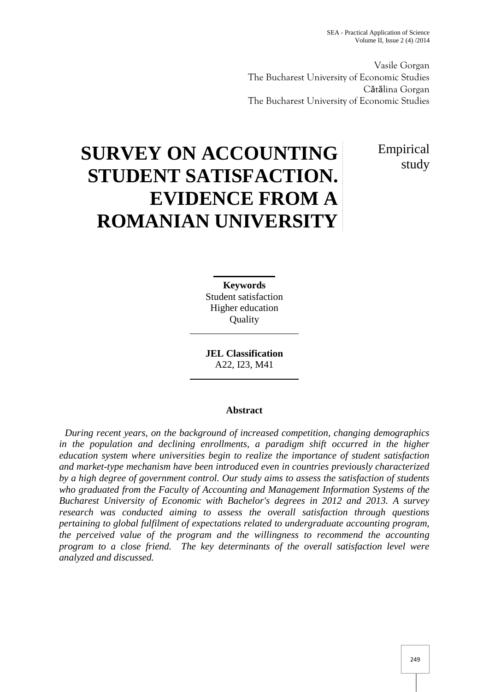Vasile Gorgan The Bucharest University of Economic Studies Cătălina Gorgan The Bucharest University of Economic Studies

> Empirical study

# **SURVEY ON ACCOUNTING STUDENT SATISFACTION. EVIDENCE FROM A ROMANIAN UNIVERSITY**

**Keywords** Student satisfaction Higher education **Quality** 

**JEL Classification** A22, I23, M41

## **Abstract**

*During recent years, on the background of increased competition, changing demographics in the population and declining enrollments, a paradigm shift occurred in the higher education system where universities begin to realize the importance of student satisfaction and market-type mechanism have been introduced even in countries previously characterized by a high degree of government control. Our study aims to assess the satisfaction of students who graduated from the Faculty of Accounting and Management Information Systems of the Bucharest University of Economic with Bachelor's degrees in 2012 and 2013. A survey research was conducted aiming to assess the overall satisfaction through questions pertaining to global fulfilment of expectations related to undergraduate accounting program, the perceived value of the program and the willingness to recommend the accounting program to a close friend. The key determinants of the overall satisfaction level were analyzed and discussed.*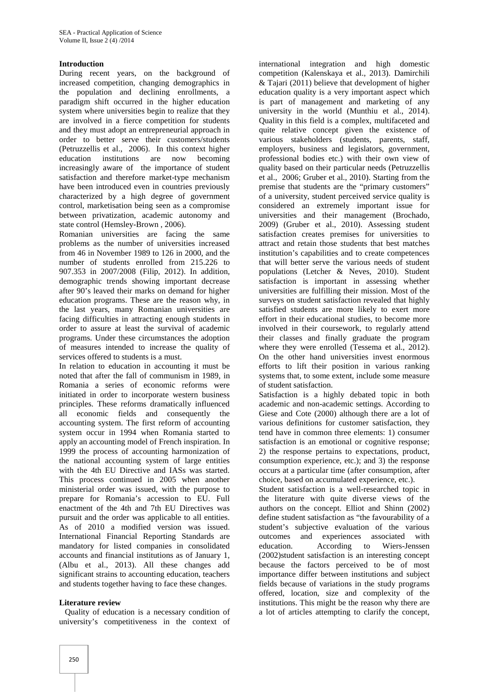## **Introduction**

During recent years, on the background of increased competition, changing demographics in the population and declining enrollments, a paradigm shift occurred in the higher education system where universities begin to realize that they are involved in a fierce competition for students and they must adopt an entrepreneurial approach in order to better serve their customers/students (Petruzzellis et al., 2006). In this context higher education institutions are now becoming increasingly aware of the importance of student satisfaction and therefore market-type mechanism have been introduced even in countries previously characterized by a high degree of government control, marketisation being seen as a compromise between privatization, academic autonomy and state control (Hemsley-Brown , 2006).

Romanian universities are facing the same problems as the number of universities increased from 46 in November 1989 to 126 in 2000, and the number of students enrolled from 215.226 to 907.353 in 2007/2008 (Filip, 2012). In addition, demographic trends showing important decrease after 90's leaved their marks on demand for higher education programs. These are the reason why, in the last years, many Romanian universities are facing difficulties in attracting enough students in order to assure at least the survival of academic programs. Under these circumstances the adoption of measures intended to increase the quality of services offered to students is a must.

In relation to education in accounting it must be noted that after the fall of communism in 1989, in Romania a series of economic reforms were initiated in order to incorporate western business principles. These reforms dramatically influenced all economic fields and consequently the accounting system. The first reform of accounting system occur in 1994 when Romania started to apply an accounting model of French inspiration. In 1999 the process of accounting harmonization of the national accounting system of large entities with the 4th EU Directive and IASs was started. This process continued in 2005 when another ministerial order was issued, with the purpose to prepare for Romania's accession to EU. Full enactment of the 4th and 7th EU Directives was pursuit and the order was applicable to all entities. As of 2010 a modified version was issued. International Financial Reporting Standards are mandatory for listed companies in consolidated accounts and financial institutions as of January 1, (Albu et al., 2013). All these changes add significant strains to accounting education, teachers and students together having to face these changes.

#### **Literature review**

Quality of education is a necessary condition of university's competitiveness in the context of

international integration and high domestic competition (Kalenskaya et al., 2013). Damirchili & Tajari (2011) believe that development of higher education quality is a very important aspect which is part of management and marketing of any university in the world (Munthiu et al., 2014). Quality in this field is a complex, multifaceted and quite relative concept given the existence of various stakeholders (students, parents, staff, employers, business and legislators, government, professional bodies etc.) with their own view of quality based on their particular needs (Petruzzellis et al., 2006; Gruber et al., 2010). Starting from the premise that students are the "primary customers" of a university, student perceived service quality is considered an extremely important issue for universities and their management (Brochado, 2009) (Gruber et al., 2010). Assessing student satisfaction creates premises for universities to attract and retain those students that best matches institution's capabilities and to create competences that will better serve the various needs of student populations (Letcher & Neves, 2010). Student satisfaction is important in assessing whether universities are fulfilling their mission. Most of the surveys on student satisfaction revealed that highly satisfied students are more likely to exert more effort in their educational studies, to become more involved in their coursework, to regularly attend their classes and finally graduate the program where they were enrolled (Tessema et al., 2012). On the other hand universities invest enormous efforts to lift their position in various ranking systems that, to some extent, include some measure of student satisfaction.

Satisfaction is a highly debated topic in both academic and non-academic settings. According to Giese and Cote (2000) although there are a lot of various definitions for customer satisfaction, they tend have in common three elements: 1) consumer satisfaction is an emotional or cognitive response; 2) the response pertains to expectations, product, consumption experience, etc.); and 3) the response occurs at a particular time (after consumption, after choice, based on accumulated experience, etc.).

Student satisfaction is a well-researched topic in the literature with quite diverse views of the authors on the concept. Elliot and Shinn (2002) define student satisfaction as "the favourability of a student's subjective evaluation of the various outcomes and experiences associated with According to Wiers-Jenssen (2002)student satisfaction is an interesting concept because the factors perceived to be of most importance differ between institutions and subject fields because of variations in the study programs offered, location, size and complexity of the institutions. This might be the reason why there are a lot of articles attempting to clarify the concept,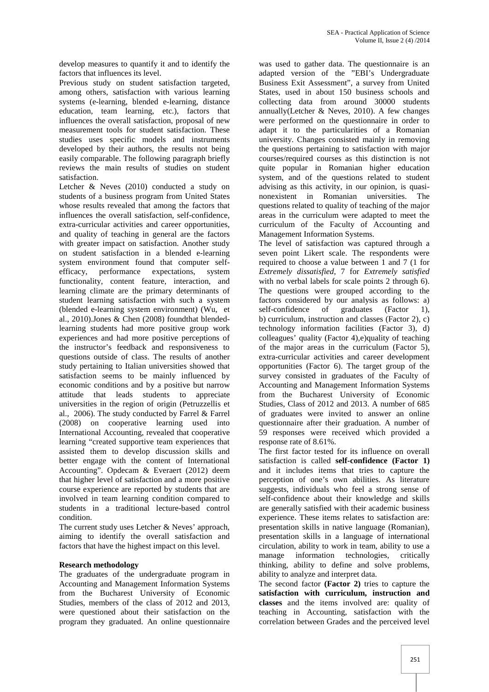develop measures to quantify it and to identify the factors that influences its level.

Previous study on student satisfaction targeted, among others, satisfaction with various learning systems (e-learning, blended e-learning, distance education, team learning, etc.), factors that influences the overall satisfaction, proposal of new measurement tools for student satisfaction. These studies uses specific models and instruments developed by their authors, the results not being easily comparable. The following paragraph briefly reviews the main results of studies on student satisfaction.

Letcher & Neves (2010) conducted a study on students of a business program from United States whose results revealed that among the factors that influences the overall satisfaction, self-confidence, extra-curricular activities and career opportunities, and quality of teaching in general are the factors with greater impact on satisfaction. Another study on student satisfaction in a blended e-learning system environment found that computer self efficacy, performance expectations, system functionality, content feature, interaction, and learning climate are the primary determinants of student learning satisfaction with such a system (blended e-learning system environment) (Wu, et al., 2010).Jones & Chen (2008) foundthat blendedlearning students had more positive group work experiences and had more positive perceptions of the instructor's feedback and responsiveness to questions outside of class. The results of another study pertaining to Italian universities showed that satisfaction seems to be mainly influenced by economic conditions and by a positive but narrow attitude that leads students to appreciate universities in the region of origin (Petruzzellis et al., 2006). The study conducted by Farrel & Farrel (2008) on cooperative learning used into International Accounting, revealed that cooperative learning "created supportive team experiences that assisted them to develop discussion skills and better engage with the content of International Accounting". Opdecam & Everaert (2012) deem that higher level of satisfaction and a more positive course experience are reported by students that are involved in team learning condition compared to students in a traditional lecture-based control condition.

The current study uses Letcher & Neves' approach, aiming to identify the overall satisfaction and factors that have the highest impact on this level.

#### **Research methodology**

The graduates of the undergraduate program in Accounting and Management Information Systems from the Bucharest University of Economic Studies, members of the class of 2012 and 2013, were questioned about their satisfaction on the program they graduated. An online questionnaire

was used to gather data. The questionnaire is an adapted version of the "EBI's Undergraduate Business Exit Assessment", a survey from United States, used in about 150 business schools and collecting data from around 30000 students annually(Letcher & Neves, 2010). A few changes were performed on the questionnaire in order to adapt it to the particularities of a Romanian university. Changes consisted mainly in removing the questions pertaining to satisfaction with major courses/required courses as this distinction is not quite popular in Romanian higher education system, and of the questions related to student advising as this activity, in our opinion, is quasi nonexistent in Romanian universities. The questions related to quality of teaching of the major areas in the curriculum were adapted to meet the curriculum of the Faculty of Accounting and Management Information Systems.

The level of satisfaction was captured through a seven point Likert scale. The respondents were required to choose a value between 1 and 7 (1 for *Extremely dissatisfied*, 7 for *Extremely satisfied* with no verbal labels for scale points 2 through 6). The questions were grouped according to the factors considered by our analysis as follows: a) self-confidence of graduates (Factor 1), b) curriculum, instruction and classes (Factor 2), c) technology information facilities (Factor 3), d) colleagues' quality (Factor 4),e)quality of teaching of the major areas in the curriculum (Factor 5), extra-curricular activities and career development opportunities (Factor 6). The target group of the survey consisted in graduates of the Faculty of Accounting and Management Information Systems from the Bucharest University of Economic Studies, Class of 2012 and 2013. A number of 685 of graduates were invited to answer an online questionnaire after their graduation. A number of 59 responses were received which provided a response rate of 8.61%.

The first factor tested for its influence on overall satisfaction is called **self-confidence (Factor 1)** and it includes items that tries to capture the perception of one's own abilities. As literature suggests, individuals who feel a strong sense of self-confidence about their knowledge and skills are generally satisfied with their academic business experience. These items relates to satisfaction are: presentation skills in native language (Romanian), presentation skills in a language of international circulation, ability to work in team, ability to use a manage information technologies, critically thinking, ability to define and solve problems, ability to analyze and interpret data.

The second factor **(Factor 2)** tries to capture the **satisfaction with curriculum, instruction and classes** and the items involved are: quality of teaching in Accounting, satisfaction with the correlation between Grades and the perceived level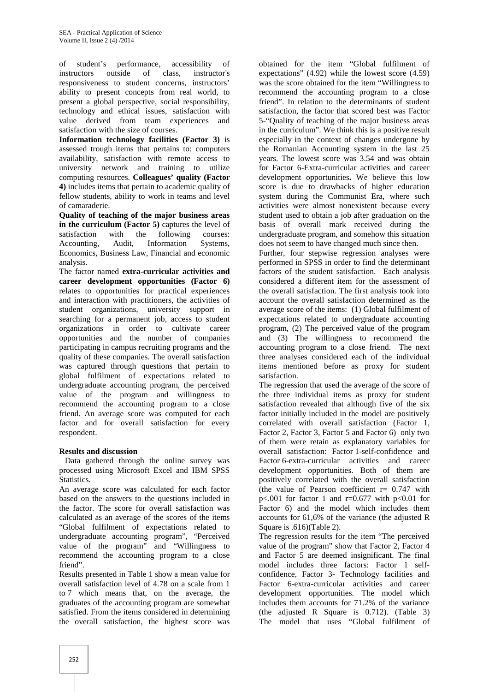of student's performance, accessibility of instructors outside of class, instructor's responsiveness to student concerns, instructors' ability to present concepts from real world, to present a global perspective, social responsibility, technology and ethical issues, satisfaction with value derived from team experiences and satisfaction with the size of courses.

**Information technology facilities (Factor 3)** is assessed trough items that pertains to: computers availability, satisfaction with remote access to university network and training to utilize computing resources. **Colleagues' quality (Factor 4)** includes items that pertain to academic quality of fellow students, ability to work in teams and level of camaraderie.

**Quality of teaching of the major business areas in the curriculum (Factor 5)** captures the level of satisfaction with the following courses: Accounting, Audit, Information Systems, Economics, Business Law, Financial and economic analysis.

The factor named **extra-curricular activities and career development opportunities (Factor 6)** relates to opportunities for practical experiences and interaction with practitioners, the activities of student organizations, university support in searching for a permanent job, access to student organizations in order to cultivate career opportunities and the number of companies participating in campus recruiting programs and the quality of these companies. The overall satisfaction was captured through questions that pertain to global fulfilment of expectations related to undergraduate accounting program, the perceived value of the program and willingness to recommend the accounting program to a close friend. An average score was computed for each factor and for overall satisfaction for every respondent.

#### **Results and discussion**

Data gathered through the online survey was processed using Microsoft Excel and IBM SPSS **Statistics** 

An average score was calculated for each factor based on the answers to the questions included in the factor. The score for overall satisfaction was calculated as an average of the scores of the items "Global fulfilment of expectations related to undergraduate accounting program", "Perceived value of the program" and "Willingness to recommend the accounting program to a close friend".

Results presented in Table 1 show a mean value for overall satisfaction level of 4.78 on a scale from 1 to 7 which means that, on the average, the graduates of the accounting program are somewhat satisfied. From the items considered in determining the overall satisfaction, the highest score was

obtained for the item "Global fulfilment of expectations" (4.92) while the lowest score (4.59) was the score obtained for the item "Willingness to recommend the accounting program to a close friend". In relation to the determinants of student satisfaction, the factor that scored best was Factor 5-"Quality of teaching of the major business areas in the curriculum". We think this is a positive result especially in the context of changes undergone by the Romanian Accounting system in the last 25 years. The lowest score was 3.54 and was obtain for Factor 6-Extra-curricular activities and career development opportunities**.** We believe this low score is due to drawbacks of higher education system during the Communist Era, where such activities were almost nonexistent because every student used to obtain a job after graduation on the basis of overall mark received during the undergraduate program, and somehow this situation does not seem to have changed much since then.

Further, four stepwise regression analyses were performed in SPSS in order to find the determinant factors of the student satisfaction. Each analysis considered a different item for the assessment of the overall satisfaction. The first analysis took into account the overall satisfaction determined as the average score of the items: (1) Global fulfilment of expectations related to undergraduate accounting program, (2) The perceived value of the program and (3) The willingness to recommend the accounting program to a close friend. The next three analyses considered each of the individual items mentioned before as proxy for student satisfaction.

The regression that used the average of the score of the three individual items as proxy for student satisfaction revealed that although five of the six factor initially included in the model are positively correlated with overall satisfaction (Factor 1, Factor 2, Factor 3, Factor 5 and Factor 6) only two of them were retain as explanatory variables for overall satisfaction: Factor 1-self-confidence and Factor 6-extra-curricular activities and career development opportunities. Both of them are positively correlated with the overall satisfaction (the value of Pearson coefficient  $r = 0.747$  with p $<0.01$  for factor 1 and r=0.677 with p $<0.01$  for Factor 6) and the model which includes them accounts for 61,6% of the variance (the adjusted R Square is .616)(Table 2).

The regression results for the item "The perceived value of the program" show that Factor 2, Factor 4 and Factor 5 are deemed insignificant. The final model includes three factors: Factor 1 self confidence, Factor 3- Technology facilities and Factor 6-extra-curricular activities and career development opportunities. The model which includes them accounts for 71.2% of the variance (the adjusted R Square is 0.712). (Table 3) The model that uses "Global fulfilment of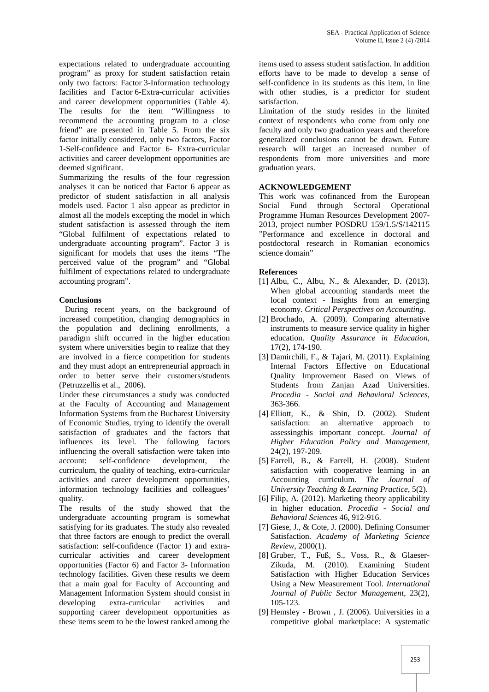expectations related to undergraduate accounting program" as proxy for student satisfaction retain only two factors: Factor 3-Information technology facilities and Factor 6-Extra-curricular activities and career development opportunities (Table 4). The results for the item "Willingness to recommend the accounting program to a close friend" are presented in Table 5. From the six factor initially considered, only two factors, Factor 1-Self-confidence and Factor 6- Extra-curricular activities and career development opportunities are deemed significant.

Summarizing the results of the four regression analyses it can be noticed that Factor 6 appear as predictor of student satisfaction in all analysis models used. Factor 1 also appear as predictor in almost all the models excepting the model in which student satisfaction is assessed through the item "Global fulfilment of expectations related to undergraduate accounting program". Factor 3 is significant for models that uses the items "The perceived value of the program" and "Global fulfilment of expectations related to undergraduate accounting program".

## **Conclusions**

During recent years, on the background of increased competition, changing demographics in the population and declining enrollments, a paradigm shift occurred in the higher education system where universities begin to realize that they are involved in a fierce competition for students and they must adopt an entrepreneurial approach in order to better serve their customers/students (Petruzzellis et al., 2006).

Under these circumstances a study was conducted at the Faculty of Accounting and Management Information Systems from the Bucharest University of Economic Studies, trying to identify the overall satisfaction of graduates and the factors that influences its level. The following factors influencing the overall satisfaction were taken into account: self-confidence development, the curriculum, the quality of teaching, extra-curricular activities and career development opportunities, information technology facilities and colleagues' quality.

The results of the study showed that the undergraduate accounting program is somewhat satisfying for its graduates. The study also revealed that three factors are enough to predict the overall satisfaction: self-confidence (Factor 1) and extra curricular activities and career development opportunities (Factor 6) and Factor 3- Information technology facilities. Given these results we deem that a main goal for Faculty of Accounting and Management Information System should consist in developing extra-curricular activities and supporting career development opportunities as these items seem to be the lowest ranked among the

items used to assess student satisfaction. In addition efforts have to be made to develop a sense of self-confidence in its students as this item, in line with other studies, is a predictor for student satisfaction.

Limitation of the study resides in the limited context of respondents who come from only one faculty and only two graduation years and therefore generalized conclusions cannot be drawn. Future research will target an increased number of respondents from more universities and more graduation years.

## **ACKNOWLEDGEMENT**

This work was cofinanced from the European Social Fund through Sectoral Operational Programme Human Resources Development 2007- 2013, project number POSDRU 159/1.5/S/142115 "Performance and excellence in doctoral and postdoctoral research in Romanian economics science domain"

## **References**

- [1] Albu, C., Albu, N., & Alexander, D. (2013). When global accounting standards meet the local context - Insights from an emerging economy. *Critical Perspectives on Accounting*.
- [2] Brochado, A. (2009). Comparing alternative instruments to measure service quality in higher education. *Quality Assurance in Education*, 17(2), 174-190.
- [3] Damirchili, F., & Tajari, M. (2011). Explaining Internal Factors Effective on Educational Quality Improvement Based on Views of Students from Zanjan Azad Universities. *Procedia - Social and Behavioral Sciences*, 363-366.
- [4] Elliott, K., & Shin, D. (2002). Student satisfaction: an alternative approach to assessingthis important concept. *Journal of Higher Education Policy and Management*, 24(2), 197-209.
- [5] Farrell, B., & Farrell, H. (2008). Student satisfaction with cooperative learning in an Accounting curriculum. *The Journal of University Teaching & Learning Practice*, 5(2).
- [6] Filip, A. (2012). Marketing theory applicability in higher education. *Procedia - Social and Behavioral Sciences* 46, 912-916.
- [7] Giese, J., & Cote, J. (2000). Defining Consumer Satisfaction. *Academy of Marketing Science Review*, 2000(1).
- [8] Gruber, T., Fuß, S., Voss, R., & Glaeser- Zikuda, M. (2010). Examining Student Satisfaction with Higher Education Services Using a New Measurement Tool. *International Journal of Public Sector Management*, 23(2), 105-123.
- [9] Hemsley Brown , J. (2006). Universities in a competitive global marketplace: A systematic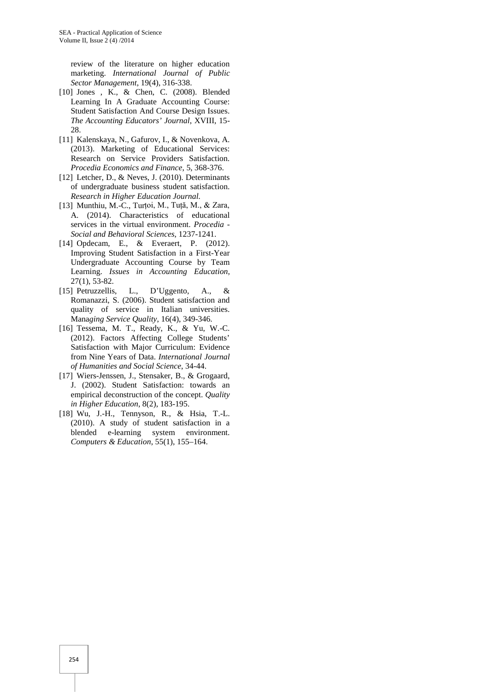review of the literature on higher education marketing. *International Journal of Public Sector Management*, 19(4), 316-338.

- [10] Jones , K., & Chen, C. (2008). Blended Learning In A Graduate Accounting Course: Student Satisfaction And Course Design Issues. *The Accounting Educators' Journal*, XVIII, 15- 28
- [11] Kalenskaya, N., Gafurov, I., & Novenkova, A. (2013). Marketing of Educational Services: Research on Service Providers Satisfaction. *Procedia Economics and Finance*, 5, 368-376.
- [12] Letcher, D., & Neves, J. (2010). Determinants of undergraduate business student satisfaction. *Research in Higher Education Journal.*
- [13] Munthiu, M.-C., Turțoi, M., Tuță, M., & Zara, A. (2014). Characteristics of educational services in the virtual environment. *Procedia - Social and Behavioral Sciences*, 1237-1241.
- [14] Opdecam, E., & Everaert, P. (2012). Improving Student Satisfaction in a First-Year Undergraduate Accounting Course by Team Learning. *Issues in Accounting Education*, 27(1), 53-82.
- [15] Petruzzellis, L., D'Uggento, A., & Romanazzi, S. (2006). Student satisfaction and quality of service in Italian universities. Mana*ging Service Quality*, 16(4), 349-346.
- [16] Tessema, M. T., Ready, K., & Yu, W.-C. (2012). Factors Affecting College Students' Satisfaction with Major Curriculum: Evidence from Nine Years of Data. *International Journal of Humanities and Social Science*, 34-44.
- [17] Wiers-Jenssen, J., Stensaker, B., & Grogaard, J. (2002). Student Satisfaction: towards an empirical deconstruction of the concept. *Quality in Higher Education*, 8(2), 183-195.
- [18] Wu, J.-H., Tennyson, R., & Hsia, T.-L. (2010). A study of student satisfaction in a blended e-learning system environment. *Computers & Education*, 55(1), 155–164.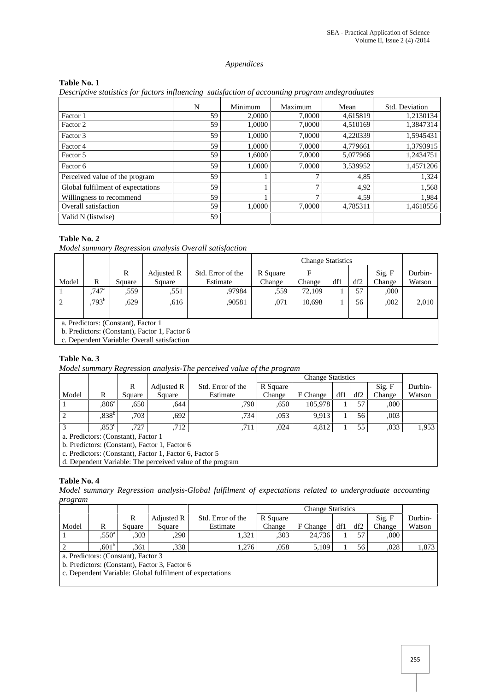#### *Appendices*

#### **Table No. 1**

*Descriptive statistics for factors influencing satisfaction of accounting program undegraduates*

|                                   | N  | Minimum | Maximum      | Mean     | Std. Deviation |
|-----------------------------------|----|---------|--------------|----------|----------------|
| Factor 1                          | 59 | 2,0000  | 7,0000       | 4,615819 | 1,2130134      |
| Factor 2                          | 59 | 1,0000  | 7,0000       | 4,510169 | 1,3847314      |
| Factor 3                          | 59 | 1.0000  | 7.0000       | 4.220339 | 1,5945431      |
| Factor 4                          | 59 | 1.0000  | 7,0000       | 4,779661 | 1,3793915      |
| Factor 5                          | 59 | 1.6000  | 7.0000       | 5,077966 | 1.2434751      |
| Factor 6                          | 59 | 1.0000  | 7.0000       | 3.539952 | 1,4571206      |
| Perceived value of the program    | 59 |         |              | 4,85     | 1,324          |
| Global fulfilment of expectations | 59 |         | $\mathbf{r}$ | 4,92     | 1,568          |
| Willingness to recommend          | 59 |         | $\mathbf{r}$ | 4,59     | 1,984          |
| Overall satisfaction              | 59 | 1.0000  | 7,0000       | 4,785311 | 1,4618556      |
| Valid N (listwise)                | 59 |         |              |          |                |

## **Table No. 2**

*Model summary Regression analysis Overall satisfaction*

|       |                     |                                     |                                               |                               | <b>Change Statistics</b> |        |     |     |                  |                   |  |
|-------|---------------------|-------------------------------------|-----------------------------------------------|-------------------------------|--------------------------|--------|-----|-----|------------------|-------------------|--|
| Model | R                   | R<br>Square                         | Adjusted R<br>Square                          | Std. Error of the<br>Estimate | R Square<br>Change       | Change | df1 | df2 | Sig. F<br>Change | Durbin-<br>Watson |  |
|       | $.747$ <sup>a</sup> | .559                                | ,551                                          | .97984                        | .559                     | 72.109 |     | 57  | ,000             |                   |  |
| 2     | $793^{\rm b}$       | ,629                                | .616                                          | .90581                        | ,071                     | 10,698 |     | 56  | ,002             | 2,010             |  |
|       |                     |                                     |                                               |                               |                          |        |     |     |                  |                   |  |
|       |                     | a. Predictors: (Constant), Factor 1 |                                               |                               |                          |        |     |     |                  |                   |  |
|       |                     |                                     | b. Predictors: (Constant), Factor 1, Factor 6 |                               |                          |        |     |     |                  |                   |  |

c. Dependent Variable: Overall satisfaction

## **Table No. 3**

*Model summary Regression analysis-The perceived value of the program*

|       |                                     | R      | Adjusted R                                                                                         | Std. Error of the | R Square |          |     |     | Sig. F | Durbin- |
|-------|-------------------------------------|--------|----------------------------------------------------------------------------------------------------|-------------------|----------|----------|-----|-----|--------|---------|
| Model | R                                   | Square | Square                                                                                             | Estimate          | Change   | F Change | df1 | df2 | Change | Watson  |
|       | .806 <sup>a</sup>                   | .650   | .644                                                                                               | .790              | .650     | 105.978  |     | 57  | .000   |         |
|       | $,838^{\rm b}$                      | .703   | .692                                                                                               | .734              | .053     | 9.913    |     | 56  | .003   |         |
|       | $0.853^{\circ}$                     | 727    | 712                                                                                                | .711              | .024     | 4,812    |     | 55  | .033   | 1,953   |
|       | a. Predictors: (Constant), Factor 1 |        |                                                                                                    |                   |          |          |     |     |        |         |
|       |                                     |        | L. D., J., $\mu$ , $\sigma$ , $\mu$ , $\mu$ , $\sigma$ , $\sigma$ , $\sigma$ , $\sigma$ , $\sigma$ |                   |          |          |     |     |        |         |

b. Predictors: (Constant), Factor 1, Factor 6

c. Predictors: (Constant), Factor 1, Factor 6, Factor 5

d. Dependent Variable: The perceived value of the program

#### **Table No. 4**

*Model summary Regression analysis-Global fulfilment of expectations related to undergraduate accounting program*

|                                                                        |                   |        |            |                   | <b>Change Statistics</b> |          |     |     |        |         |
|------------------------------------------------------------------------|-------------------|--------|------------|-------------------|--------------------------|----------|-----|-----|--------|---------|
|                                                                        |                   | ĸ      | Adjusted R | Std. Error of the | R Square                 |          |     |     | Sig. F | Durbin- |
| Model                                                                  | R                 | Square | Square     | Estimate          | Change                   | F Change | df1 | df2 | Change | Watson  |
|                                                                        | $550^{\circ}$     | .303   | ,290       | 1,321             | ,303                     | 24,736   |     | 57  | ,000   |         |
|                                                                        | .601 <sup>b</sup> | .361   | .338       | 1.276             | .058                     | 5,109    |     | 56  | ,028   | 1,873   |
| $\mathbf{r}$ $\mathbf{r}$<br>$\sim$ $\sim$ $\sim$ $\sim$ $\sim$ $\sim$ |                   |        |            |                   |                          |          |     |     |        |         |

a. Predictors: (Constant), Factor 3

b. Predictors: (Constant), Factor 3, Factor 6

c. Dependent Variable: Global fulfilment of expectations